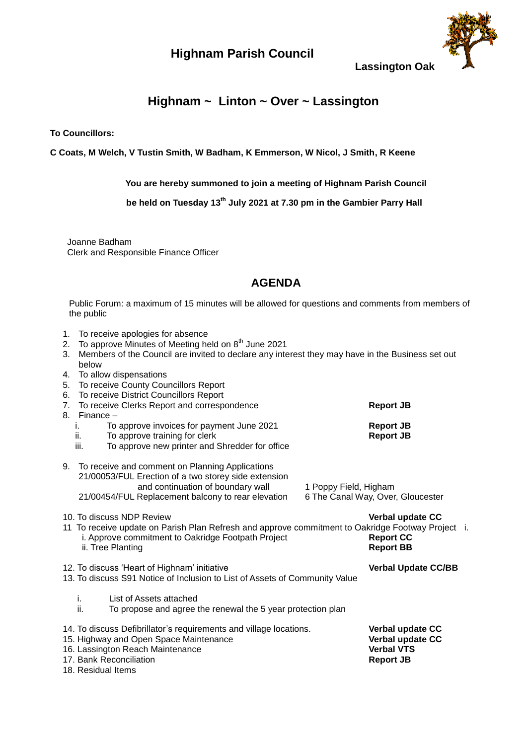## **Highnam Parish Council**



**Lassington Oak**

## **Highnam ~ Linton ~ Over ~ Lassington**

**To Councillors:**

**C Coats, M Welch, V Tustin Smith, W Badham, K Emmerson, W Nicol, J Smith, R Keene**

**You are hereby summoned to join a meeting of Highnam Parish Council**

 **be held on Tuesday 13th July 2021 at 7.30 pm in the Gambier Parry Hall**

 Joanne Badham Clerk and Responsible Finance Officer

## **AGENDA**

Public Forum: a maximum of 15 minutes will be allowed for questions and comments from members of the public

- 1. To receive apologies for absence
- 2. To approve Minutes of Meeting held on 8<sup>th</sup> June 2021
- 3. Members of the Council are invited to declare any interest they may have in the Business set out below
- 4. To allow dispensations
- 5. To receive County Councillors Report
- 6. To receive District Councillors Report
- 7. To receive Clerks Report and correspondence **Report JB**
- 8. Finance
	- i. To approve invoices for payment June 2021 **Report JB**
	- ii. To approve training for clerk **Report JB Report JB**
	- iii. To approve new printer and Shredder for office

| 9. To receive and comment on Planning Applications<br>21/00053/FUL Erection of a two storey side extension                                              |                                   |  |
|---------------------------------------------------------------------------------------------------------------------------------------------------------|-----------------------------------|--|
| and continuation of boundary wall                                                                                                                       | 1 Poppy Field, Higham             |  |
| 21/00454/FUL Replacement balcony to rear elevation                                                                                                      | 6 The Canal Way, Over, Gloucester |  |
| 10. To discuss NDP Review                                                                                                                               | Verbal update CC                  |  |
| 11 To receive update on Parish Plan Refresh and approve commitment to Oakridge Footway Project i.<br>i. Approve commitment to Oakridge Footpath Project | <b>Report CC</b>                  |  |
| ii. Tree Planting                                                                                                                                       | <b>Report BB</b>                  |  |
|                                                                                                                                                         |                                   |  |
| 12. To discuss 'Heart of Highnam' initiative                                                                                                            | <b>Verbal Update CC/BB</b>        |  |
| 13. To discuss S91 Notice of Inclusion to List of Assets of Community Value                                                                             |                                   |  |
|                                                                                                                                                         |                                   |  |

- i. List of Assets attached
- ii. To propose and agree the renewal the 5 year protection plan
- 14. To discuss Defibrillator's requirements and village locations. **Verbal update CC**
- 15. Highway and Open Space Maintenance **Verbal update CC**
- 16. Lassington Reach Maintenance **Verbal VTS**
- 17. Bank Reconciliation **Report JB** 18. Residual Items
-